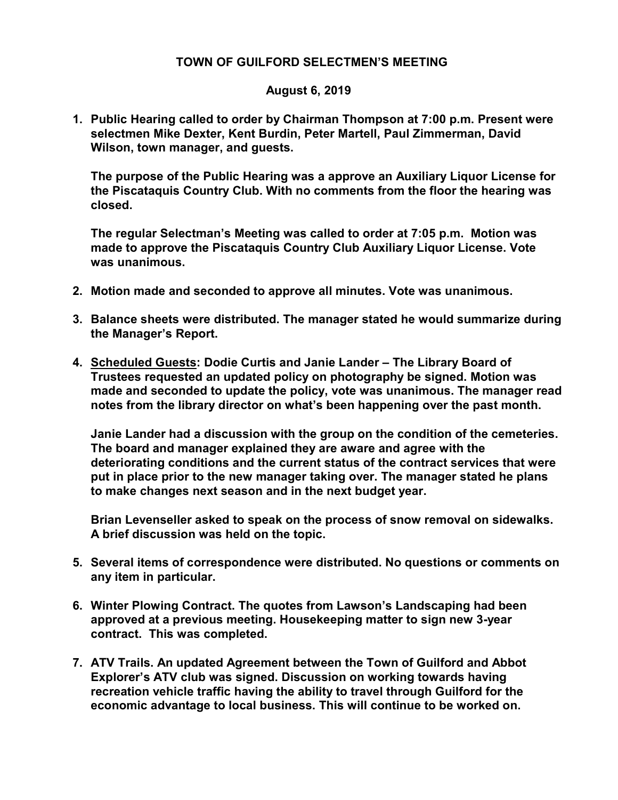## TOWN OF GUILFORD SELECTMEN'S MEETING

## August 6, 2019

1. Public Hearing called to order by Chairman Thompson at 7:00 p.m. Present were selectmen Mike Dexter, Kent Burdin, Peter Martell, Paul Zimmerman, David Wilson, town manager, and guests.

The purpose of the Public Hearing was a approve an Auxiliary Liquor License for the Piscataquis Country Club. With no comments from the floor the hearing was closed.

The regular Selectman's Meeting was called to order at 7:05 p.m. Motion was made to approve the Piscataquis Country Club Auxiliary Liquor License. Vote was unanimous.

- 2. Motion made and seconded to approve all minutes. Vote was unanimous.
- 3. Balance sheets were distributed. The manager stated he would summarize during the Manager's Report.
- 4. Scheduled Guests: Dodie Curtis and Janie Lander The Library Board of Trustees requested an updated policy on photography be signed. Motion was made and seconded to update the policy, vote was unanimous. The manager read notes from the library director on what's been happening over the past month.

Janie Lander had a discussion with the group on the condition of the cemeteries. The board and manager explained they are aware and agree with the deteriorating conditions and the current status of the contract services that were put in place prior to the new manager taking over. The manager stated he plans to make changes next season and in the next budget year.

Brian Levenseller asked to speak on the process of snow removal on sidewalks. A brief discussion was held on the topic.

- 5. Several items of correspondence were distributed. No questions or comments on any item in particular.
- 6. Winter Plowing Contract. The quotes from Lawson's Landscaping had been approved at a previous meeting. Housekeeping matter to sign new 3-year contract. This was completed.
- 7. ATV Trails. An updated Agreement between the Town of Guilford and Abbot Explorer's ATV club was signed. Discussion on working towards having recreation vehicle traffic having the ability to travel through Guilford for the economic advantage to local business. This will continue to be worked on.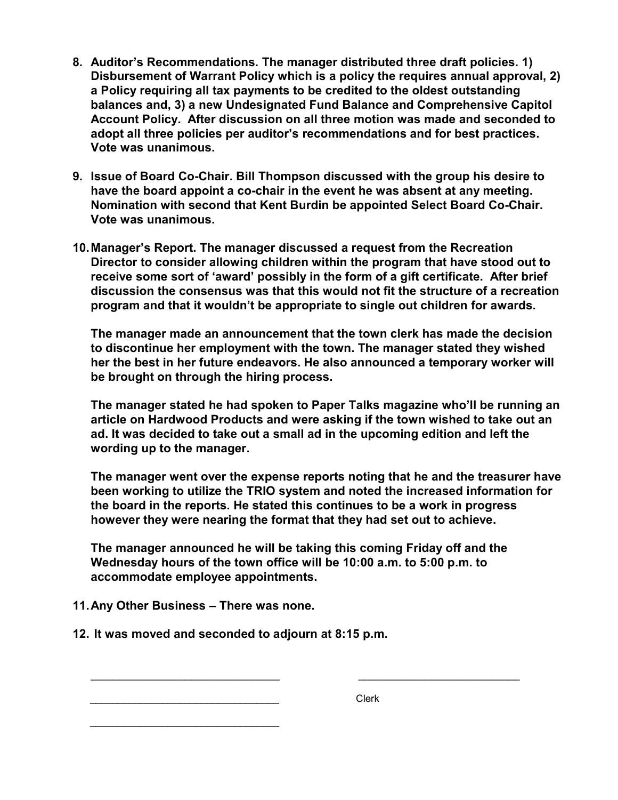- 8. Auditor's Recommendations. The manager distributed three draft policies. 1) Disbursement of Warrant Policy which is a policy the requires annual approval, 2) a Policy requiring all tax payments to be credited to the oldest outstanding balances and, 3) a new Undesignated Fund Balance and Comprehensive Capitol Account Policy. After discussion on all three motion was made and seconded to adopt all three policies per auditor's recommendations and for best practices. Vote was unanimous.
- 9. Issue of Board Co-Chair. Bill Thompson discussed with the group his desire to have the board appoint a co-chair in the event he was absent at any meeting. Nomination with second that Kent Burdin be appointed Select Board Co-Chair. Vote was unanimous.
- 10. Manager's Report. The manager discussed a request from the Recreation Director to consider allowing children within the program that have stood out to receive some sort of 'award' possibly in the form of a gift certificate. After brief discussion the consensus was that this would not fit the structure of a recreation program and that it wouldn't be appropriate to single out children for awards.

The manager made an announcement that the town clerk has made the decision to discontinue her employment with the town. The manager stated they wished her the best in her future endeavors. He also announced a temporary worker will be brought on through the hiring process.

The manager stated he had spoken to Paper Talks magazine who'll be running an article on Hardwood Products and were asking if the town wished to take out an ad. It was decided to take out a small ad in the upcoming edition and left the wording up to the manager.

The manager went over the expense reports noting that he and the treasurer have been working to utilize the TRIO system and noted the increased information for the board in the reports. He stated this continues to be a work in progress however they were nearing the format that they had set out to achieve.

The manager announced he will be taking this coming Friday off and the Wednesday hours of the town office will be 10:00 a.m. to 5:00 p.m. to accommodate employee appointments.

 $\frac{1}{2}$  ,  $\frac{1}{2}$  ,  $\frac{1}{2}$  ,  $\frac{1}{2}$  ,  $\frac{1}{2}$  ,  $\frac{1}{2}$  ,  $\frac{1}{2}$  ,  $\frac{1}{2}$  ,  $\frac{1}{2}$  ,  $\frac{1}{2}$  ,  $\frac{1}{2}$  ,  $\frac{1}{2}$  ,  $\frac{1}{2}$  ,  $\frac{1}{2}$  ,  $\frac{1}{2}$  ,  $\frac{1}{2}$  ,  $\frac{1}{2}$  ,  $\frac{1}{2}$  ,  $\frac{1$ 

- 11. Any Other Business There was none.
- 12. It was moved and seconded to adjourn at 8:15 p.m.

\_\_\_\_\_\_\_\_\_\_\_\_\_\_\_\_\_\_\_\_\_\_\_\_\_\_\_\_\_\_\_\_\_\_ Clerk